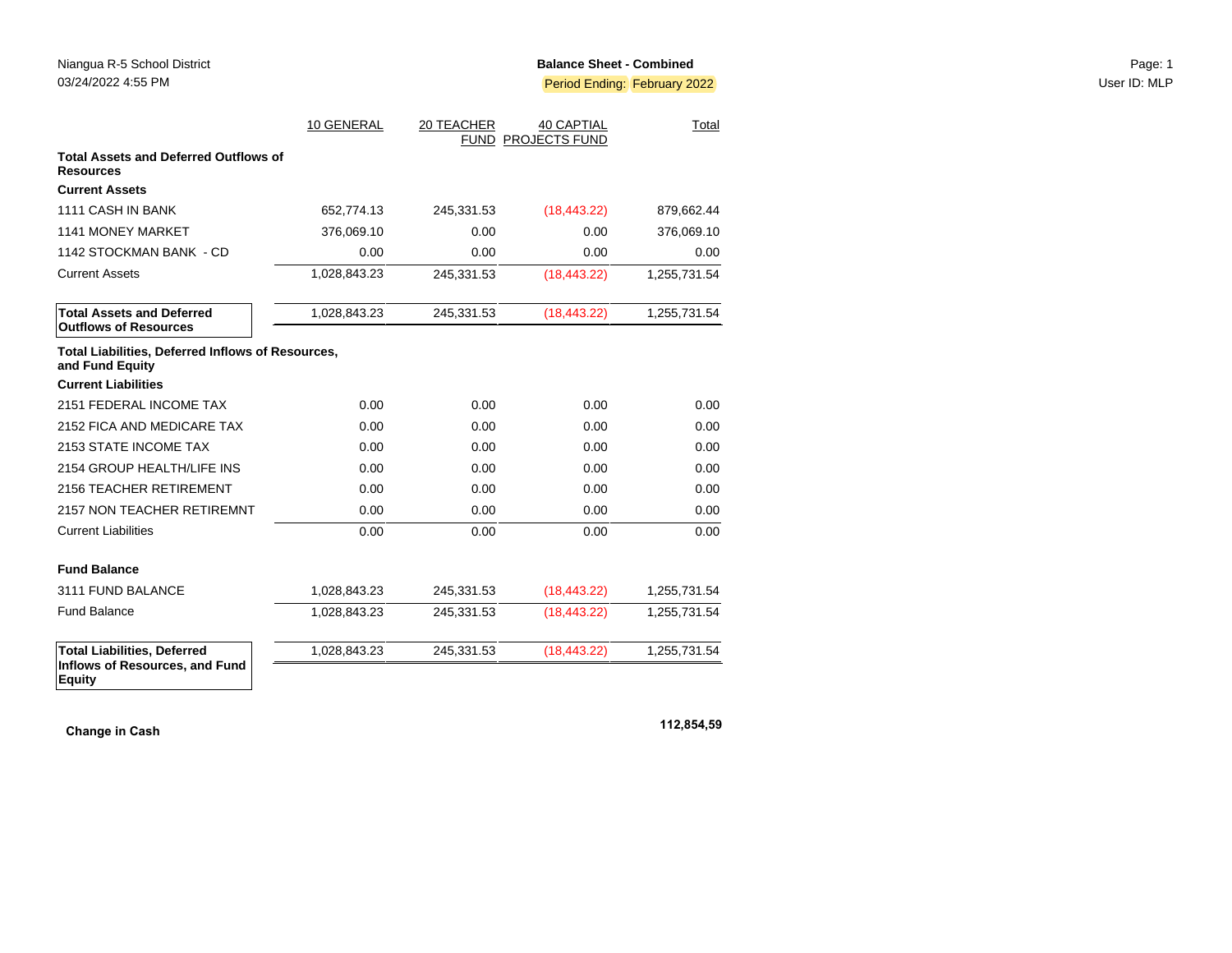|                                                                                       | 10 GENERAL   | 20 TEACHER | <b>40 CAPTIAL</b><br>FUND PROJECTS FUND | Total        |
|---------------------------------------------------------------------------------------|--------------|------------|-----------------------------------------|--------------|
| <b>Total Assets and Deferred Outflows of</b><br><b>Resources</b>                      |              |            |                                         |              |
| <b>Current Assets</b>                                                                 |              |            |                                         |              |
| 1111 CASH IN BANK                                                                     | 652,774.13   | 245,331.53 | (18, 443.22)                            | 879,662.44   |
| 1141 MONEY MARKET                                                                     | 376,069.10   | 0.00       | 0.00                                    | 376,069.10   |
| 1142 STOCKMAN BANK - CD                                                               | 0.00         | 0.00       | 0.00                                    | 0.00         |
| <b>Current Assets</b>                                                                 | 1,028,843.23 | 245,331.53 | (18, 443.22)                            | 1,255,731.54 |
| <b>Total Assets and Deferred</b><br><b>Outflows of Resources</b>                      | 1,028,843.23 | 245,331.53 | (18, 443.22)                            | 1,255,731.54 |
| Total Liabilities, Deferred Inflows of Resources,<br>and Fund Equity                  |              |            |                                         |              |
| <b>Current Liabilities</b>                                                            |              |            |                                         |              |
| 2151 FEDERAL INCOME TAX                                                               | 0.00         | 0.00       | 0.00                                    | 0.00         |
| 2152 FICA AND MEDICARE TAX                                                            | 0.00         | 0.00       | 0.00                                    | 0.00         |
| 2153 STATE INCOME TAX                                                                 | 0.00         | 0.00       | 0.00                                    | 0.00         |
| 2154 GROUP HEALTH/LIFE INS                                                            | 0.00         | 0.00       | 0.00                                    | 0.00         |
| 2156 TEACHER RETIREMENT                                                               | 0.00         | 0.00       | 0.00                                    | 0.00         |
| 2157 NON TEACHER RETIREMNT                                                            | 0.00         | 0.00       | 0.00                                    | 0.00         |
| <b>Current Liabilities</b>                                                            | 0.00         | 0.00       | 0.00                                    | 0.00         |
| <b>Fund Balance</b>                                                                   |              |            |                                         |              |
| 3111 FUND BALANCE                                                                     | 1,028,843.23 | 245,331.53 | (18, 443.22)                            | 1,255,731.54 |
| <b>Fund Balance</b>                                                                   | 1,028,843.23 | 245,331.53 | (18, 443.22)                            | 1,255,731.54 |
| <b>Total Liabilities, Deferred</b><br>Inflows of Resources, and Fund<br><b>Equity</b> | 1,028,843.23 | 245,331.53 | (18, 443.22)                            | 1,255,731.54 |

**Change in Cash 112,854,59**